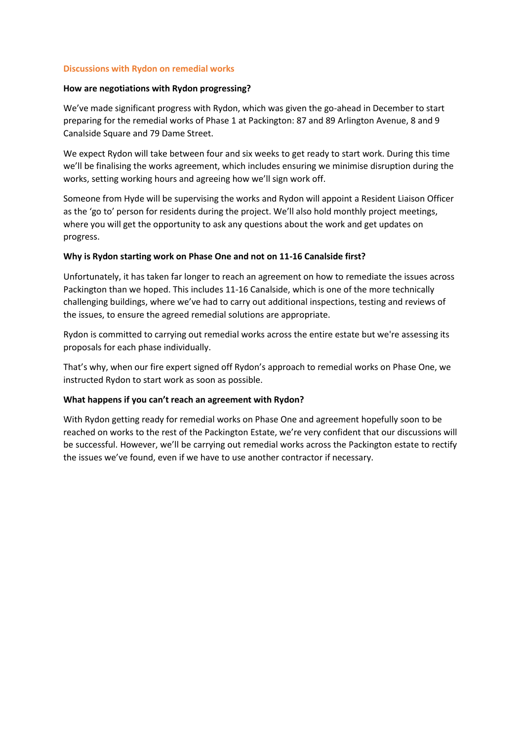### **Discussions with Rydon on remedial works**

#### **How are negotiations with Rydon progressing?**

We've made significant progress with Rydon, which was given the go-ahead in December to start preparing for the remedial works of Phase 1 at Packington: 87 and 89 Arlington Avenue, 8 and 9 Canalside Square and 79 Dame Street.

We expect Rydon will take between four and six weeks to get ready to start work. During this time we'll be finalising the works agreement, which includes ensuring we minimise disruption during the works, setting working hours and agreeing how we'll sign work off.

Someone from Hyde will be supervising the works and Rydon will appoint a Resident Liaison Officer as the 'go to' person for residents during the project. We'll also hold monthly project meetings, where you will get the opportunity to ask any questions about the work and get updates on progress.

#### **Why is Rydon starting work on Phase One and not on 11-16 Canalside first?**

Unfortunately, it has taken far longer to reach an agreement on how to remediate the issues across Packington than we hoped. This includes 11-16 Canalside, which is one of the more technically challenging buildings, where we've had to carry out additional inspections, testing and reviews of the issues, to ensure the agreed remedial solutions are appropriate.

Rydon is committed to carrying out remedial works across the entire estate but we're assessing its proposals for each phase individually.

That's why, when our fire expert signed off Rydon's approach to remedial works on Phase One, we instructed Rydon to start work as soon as possible.

#### **What happens if you can't reach an agreement with Rydon?**

With Rydon getting ready for remedial works on Phase One and agreement hopefully soon to be reached on works to the rest of the Packington Estate, we're very confident that our discussions will be successful. However, we'll be carrying out remedial works across the Packington estate to rectify the issues we've found, even if we have to use another contractor if necessary.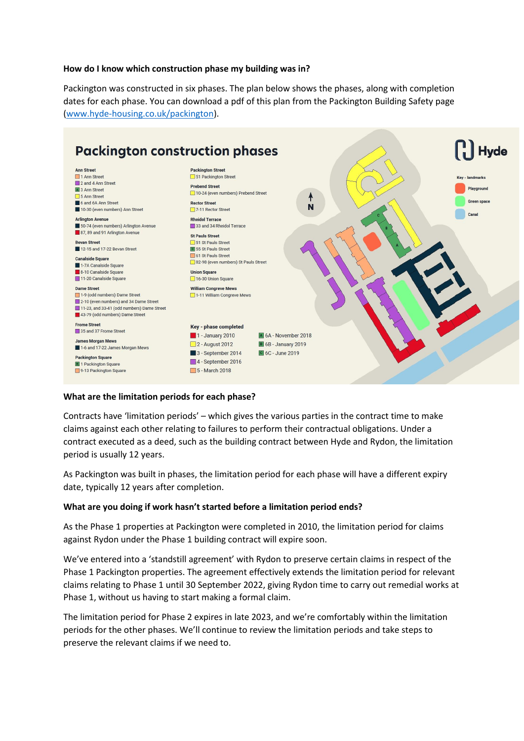## **How do I know which construction phase my building was in?**

Packington was constructed in six phases. The plan below shows the phases, along with completion dates for each phase. You can download a pdf of this plan from the Packington Building Safety page [\(www.hyde-housing.co.uk/packington\)](http://www.hyde-housing.co.uk/packington).



# **What are the limitation periods for each phase?**

Contracts have 'limitation periods' – which gives the various parties in the contract time to make claims against each other relating to failures to perform their contractual obligations. Under a contract executed as a deed, such as the building contract between Hyde and Rydon, the limitation period is usually 12 years.

As Packington was built in phases, the limitation period for each phase will have a different expiry date, typically 12 years after completion.

## **What are you doing if work hasn't started before a limitation period ends?**

As the Phase 1 properties at Packington were completed in 2010, the limitation period for claims against Rydon under the Phase 1 building contract will expire soon.

We've entered into a 'standstill agreement' with Rydon to preserve certain claims in respect of the Phase 1 Packington properties. The agreement effectively extends the limitation period for relevant claims relating to Phase 1 until 30 September 2022, giving Rydon time to carry out remedial works at Phase 1, without us having to start making a formal claim.

The limitation period for Phase 2 expires in late 2023, and we're comfortably within the limitation periods for the other phases. We'll continue to review the limitation periods and take steps to preserve the relevant claims if we need to.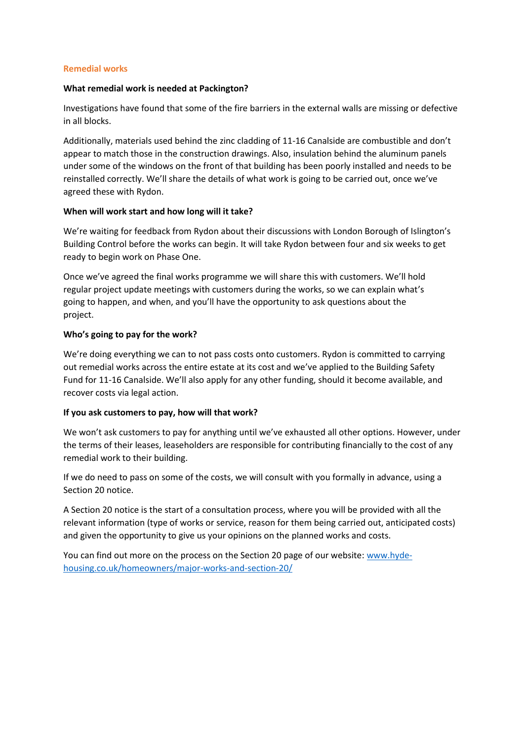## **Remedial works**

## **What remedial work is needed at Packington?**

Investigations have found that some of the fire barriers in the external walls are missing or defective in all blocks.

Additionally, materials used behind the zinc cladding of 11-16 Canalside are combustible and don't appear to match those in the construction drawings. Also, insulation behind the aluminum panels under some of the windows on the front of that building has been poorly installed and needs to be reinstalled correctly. We'll share the details of what work is going to be carried out, once we've agreed these with Rydon.

# **When will work start and how long will it take?**

We're waiting for feedback from Rydon about their discussions with London Borough of Islington's Building Control before the works can begin. It will take Rydon between four and six weeks to get ready to begin work on Phase One.

Once we've agreed the final works programme we will share this with customers. We'll hold regular project update meetings with customers during the works, so we can explain what's going to happen, and when, and you'll have the opportunity to ask questions about the project.

# **Who's going to pay for the work?**

We're doing everything we can to not pass costs onto customers. Rydon is committed to carrying out remedial works across the entire estate at its cost and we've applied to the Building Safety Fund for 11-16 Canalside. We'll also apply for any other funding, should it become available, and recover costs via legal action.

## **If you ask customers to pay, how will that work?**

We won't ask customers to pay for anything until we've exhausted all other options. However, under the terms of their leases, leaseholders are responsible for contributing financially to the cost of any remedial work to their building.

If we do need to pass on some of the costs, we will consult with you formally in advance, using a Section 20 notice.

A Section 20 notice is the start of a consultation process, where you will be provided with all the relevant information (type of works or service, reason for them being carried out, anticipated costs) and given the opportunity to give us your opinions on the planned works and costs.

You can find out more on the process on the Section 20 page of our website[: www.hyde](http://www.hyde-housing.co.uk/homeowners/major-works-and-section-20/)[housing.co.uk/homeowners/major-works-and-section-20/](http://www.hyde-housing.co.uk/homeowners/major-works-and-section-20/)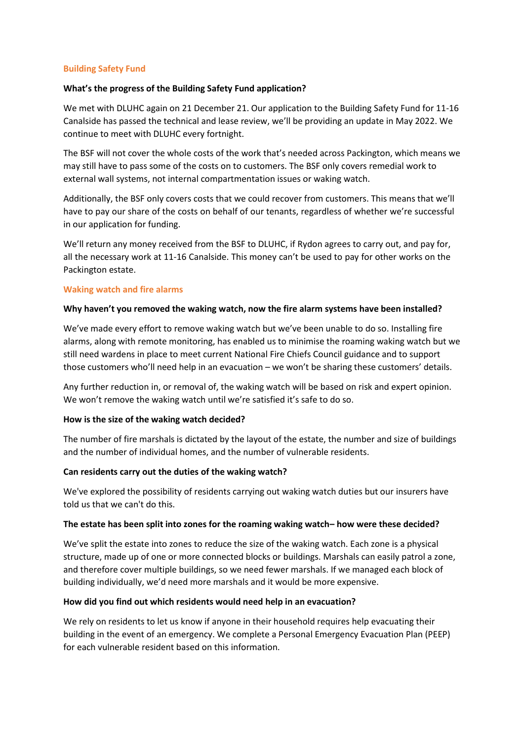## **Building Safety Fund**

## **What's the progress of the Building Safety Fund application?**

We met with DLUHC again on 21 December 21. Our application to the Building Safety Fund for 11-16 Canalside has passed the technical and lease review, we'll be providing an update in May 2022. We continue to meet with DLUHC every fortnight.

The BSF will not cover the whole costs of the work that's needed across Packington, which means we may still have to pass some of the costs on to customers. The BSF only covers remedial work to external wall systems, not internal compartmentation issues or waking watch.

Additionally, the BSF only covers costs that we could recover from customers. This means that we'll have to pay our share of the costs on behalf of our tenants, regardless of whether we're successful in our application for funding.

We'll return any money received from the BSF to DLUHC, if Rydon agrees to carry out, and pay for, all the necessary work at 11-16 Canalside. This money can't be used to pay for other works on the Packington estate.

# **Waking watch and fire alarms**

## **Why haven't you removed the waking watch, now the fire alarm systems have been installed?**

We've made every effort to remove waking watch but we've been unable to do so. Installing fire alarms, along with remote monitoring, has enabled us to minimise the roaming waking watch but we still need wardens in place to meet current National Fire Chiefs Council guidance and to support those customers who'll need help in an evacuation – we won't be sharing these customers' details.

Any further reduction in, or removal of, the waking watch will be based on risk and expert opinion. We won't remove the waking watch until we're satisfied it's safe to do so.

## **How is the size of the waking watch decided?**

The number of fire marshals is dictated by the layout of the estate, the number and size of buildings and the number of individual homes, and the number of vulnerable residents.

## **Can residents carry out the duties of the waking watch?**

We've explored the possibility of residents carrying out waking watch duties but our insurers have told us that we can't do this.

## **The estate has been split into zones for the roaming waking watch– how were these decided?**

We've split the estate into zones to reduce the size of the waking watch. Each zone is a physical structure, made up of one or more connected blocks or buildings. Marshals can easily patrol a zone, and therefore cover multiple buildings, so we need fewer marshals. If we managed each block of building individually, we'd need more marshals and it would be more expensive.

## **How did you find out which residents would need help in an evacuation?**

We rely on residents to let us know if anyone in their household requires help evacuating their building in the event of an emergency. We complete a Personal Emergency Evacuation Plan (PEEP) for each vulnerable resident based on this information.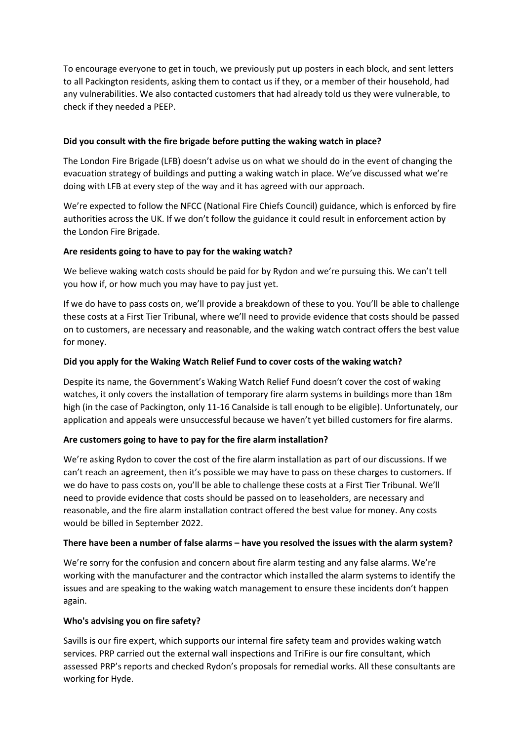To encourage everyone to get in touch, we previously put up posters in each block, and sent letters to all Packington residents, asking them to contact us if they, or a member of their household, had any vulnerabilities. We also contacted customers that had already told us they were vulnerable, to check if they needed a PEEP.

# **Did you consult with the fire brigade before putting the waking watch in place?**

The London Fire Brigade (LFB) doesn't advise us on what we should do in the event of changing the evacuation strategy of buildings and putting a waking watch in place. We've discussed what we're doing with LFB at every step of the way and it has agreed with our approach.

We're expected to follow the NFCC (National Fire Chiefs Council) guidance, which is enforced by fire authorities across the UK. If we don't follow the guidance it could result in enforcement action by the London Fire Brigade.

# **Are residents going to have to pay for the waking watch?**

We believe waking watch costs should be paid for by Rydon and we're pursuing this. We can't tell you how if, or how much you may have to pay just yet.

If we do have to pass costs on, we'll provide a breakdown of these to you. You'll be able to challenge these costs at a First Tier Tribunal, where we'll need to provide evidence that costs should be passed on to customers, are necessary and reasonable, and the waking watch contract offers the best value for money.

# **Did you apply for the Waking Watch Relief Fund to cover costs of the waking watch?**

Despite its name, the Government's Waking Watch Relief Fund doesn't cover the cost of waking watches, it only covers the installation of temporary fire alarm systems in buildings more than 18m high (in the case of Packington, only 11-16 Canalside is tall enough to be eligible). Unfortunately, our application and appeals were unsuccessful because we haven't yet billed customers for fire alarms.

# **Are customers going to have to pay for the fire alarm installation?**

We're asking Rydon to cover the cost of the fire alarm installation as part of our discussions. If we can't reach an agreement, then it's possible we may have to pass on these charges to customers. If we do have to pass costs on, you'll be able to challenge these costs at a First Tier Tribunal. We'll need to provide evidence that costs should be passed on to leaseholders, are necessary and reasonable, and the fire alarm installation contract offered the best value for money. Any costs would be billed in September 2022.

## **There have been a number of false alarms – have you resolved the issues with the alarm system?**

We're sorry for the confusion and concern about fire alarm testing and any false alarms. We're working with the manufacturer and the contractor which installed the alarm systems to identify the issues and are speaking to the waking watch management to ensure these incidents don't happen again.

# **Who's advising you on fire safety?**

Savills is our fire expert, which supports our internal fire safety team and provides waking watch services. PRP carried out the external wall inspections and TriFire is our fire consultant, which assessed PRP's reports and checked Rydon's proposals for remedial works. All these consultants are working for Hyde.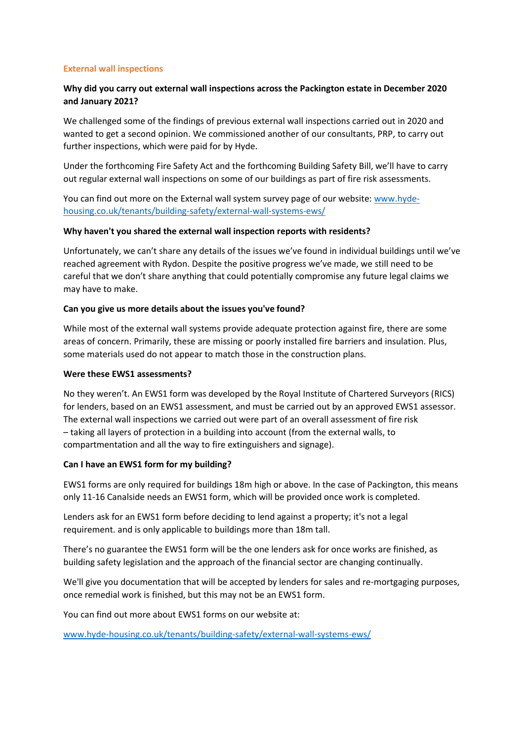## **External wall inspections**

# **Why did you carry out external wall inspections across the Packington estate in December 2020 and January 2021?**

We challenged some of the findings of previous external wall inspections carried out in 2020 and wanted to get a second opinion. We commissioned another of our consultants, PRP, to carry out further inspections, which were paid for by Hyde.

Under the forthcoming Fire Safety Act and the forthcoming Building Safety Bill, we'll have to carry out regular external wall inspections on some of our buildings as part of fire risk assessments.

You can find out more on the External wall system survey page of our website: [www.hyde](http://www.hyde-housing.co.uk/tenants/building-safety/external-wall-systems-ews/)[housing.co.uk/tenants/building-safety/external-wall-systems-ews/](http://www.hyde-housing.co.uk/tenants/building-safety/external-wall-systems-ews/)

#### **Why haven't you shared the external wall inspection reports with residents?**

Unfortunately, we can't share any details of the issues we've found in individual buildings until we've reached agreement with Rydon. Despite the positive progress we've made, we still need to be careful that we don't share anything that could potentially compromise any future legal claims we may have to make.

#### **Can you give us more details about the issues you've found?**

While most of the external wall systems provide adequate protection against fire, there are some areas of concern. Primarily, these are missing or poorly installed fire barriers and insulation. Plus, some materials used do not appear to match those in the construction plans.

### **Were these EWS1 assessments?**

No they weren't. An EWS1 form was developed by the Royal Institute of Chartered Surveyors (RICS) for lenders, based on an EWS1 assessment, and must be carried out by an approved EWS1 assessor. The external wall inspections we carried out were part of an overall assessment of fire risk – taking all layers of protection in a building into account (from the external walls, to compartmentation and all the way to fire extinguishers and signage).

## **Can I have an EWS1 form for my building?**

EWS1 forms are only required for buildings 18m high or above. In the case of Packington, this means only 11-16 Canalside needs an EWS1 form, which will be provided once work is completed.

Lenders ask for an EWS1 form before deciding to lend against a property; it's not a legal requirement. and is only applicable to buildings more than 18m tall.

There's no guarantee the EWS1 form will be the one lenders ask for once works are finished, as building safety legislation and the approach of the financial sector are changing continually.

We'll give you documentation that will be accepted by lenders for sales and re-mortgaging purposes, once remedial work is finished, but this may not be an EWS1 form.

You can find out more about EWS1 forms on our website at:

[www.hyde-housing.co.uk/tenants/building-safety/external-wall-systems-ews/](http://www.hyde-housing.co.uk/tenants/building-safety/external-wall-systems-ews/)